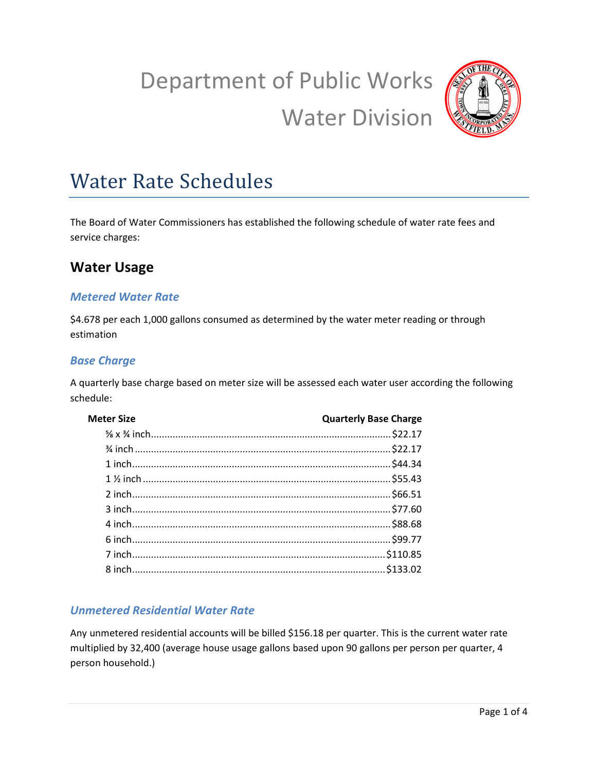# Department of Public Works Water Division



# Water Rate Schedules

The Board of Water Commissioners has established the following schedule of water rate fees and service charges:

# **Water Usage**

#### *Metered Water Rate*

\$4.678 per each 1,000 gallons consumed as determined by the water meter reading or through estimation

#### *Base Charge*

A quarterly base charge based on meter size will be assessed each water user according the following schedule:

| <b>Meter Size</b> | <b>Quarterly Base Charge</b> |
|-------------------|------------------------------|
|                   |                              |
|                   |                              |
|                   |                              |
|                   |                              |
|                   |                              |
|                   |                              |
|                   |                              |
|                   |                              |
|                   |                              |
|                   |                              |
|                   |                              |

#### *Unmetered Residential Water Rate*

Any unmetered residential accounts will be billed \$156.18 per quarter. This is the current water rate multiplied by 32,400 (average house usage gallons based upon 90 gallons per person per quarter, 4 person household.)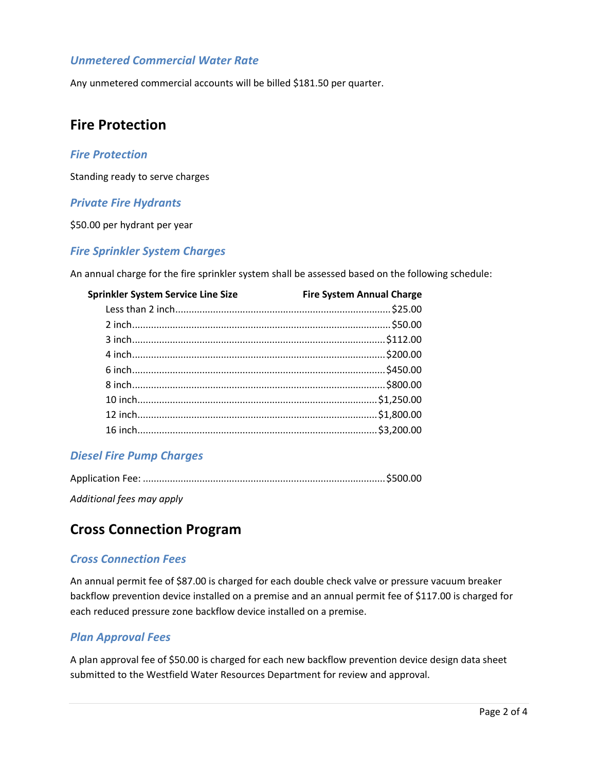#### *Unmetered Commercial Water Rate*

Any unmetered commercial accounts will be billed \$181.50 per quarter.

### **Fire Protection**

#### *Fire Protection*

Standing ready to serve charges

#### *Private Fire Hydrants*

\$50.00 per hydrant per year

#### *Fire Sprinkler System Charges*

An annual charge for the fire sprinkler system shall be assessed based on the following schedule:

| <b>Sprinkler System Service Line Size</b> | <b>Fire System Annual Charge</b> |
|-------------------------------------------|----------------------------------|
|                                           |                                  |
|                                           |                                  |
|                                           |                                  |
|                                           |                                  |
|                                           |                                  |
|                                           |                                  |
|                                           |                                  |
|                                           |                                  |
|                                           |                                  |
|                                           |                                  |

#### *Diesel Fire Pump Charges*

*Additional fees may apply* 

# **Cross Connection Program**

#### *Cross Connection Fees*

An annual permit fee of \$87.00 is charged for each double check valve or pressure vacuum breaker backflow prevention device installed on a premise and an annual permit fee of \$117.00 is charged for each reduced pressure zone backflow device installed on a premise.

#### *Plan Approval Fees*

A plan approval fee of \$50.00 is charged for each new backflow prevention device design data sheet submitted to the Westfield Water Resources Department for review and approval.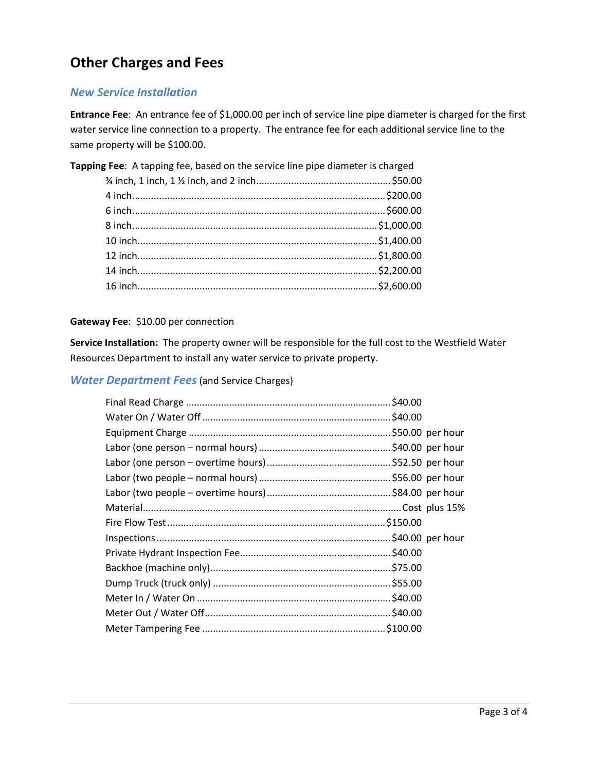# **Other Charges and Fees**

#### *New Service Installation*

**Entrance Fee**: An entrance fee of \$1,000.00 per inch of service line pipe diameter is charged for the first water service line connection to a property. The entrance fee for each additional service line to the same property will be \$100.00.

| Tapping Fee: A tapping fee, based on the service line pipe diameter is charged |  |
|--------------------------------------------------------------------------------|--|
|                                                                                |  |
|                                                                                |  |
|                                                                                |  |
|                                                                                |  |
|                                                                                |  |
|                                                                                |  |
|                                                                                |  |
|                                                                                |  |

#### **Gateway Fee**: \$10.00 per connection

**Service Installation:** The property owner will be responsible for the full cost to the Westfield Water Resources Department to install any water service to private property.

#### *Water Department Fees* (and Service Charges)